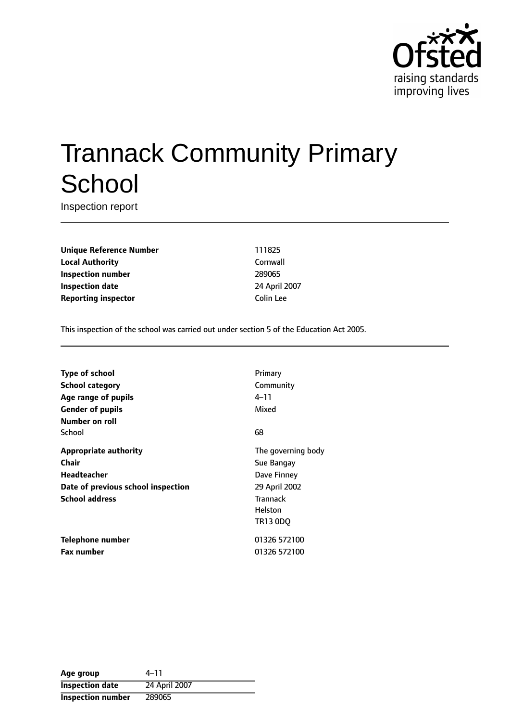

# Trannack Community Primary **School**

Inspection report

**Unique Reference Number** 111825 **Local Authority** Cornwall **Inspection number** 289065 **Inspection date** 24 April 2007 **Reporting inspector Colin Lee** 

This inspection of the school was carried out under section 5 of the Education Act 2005.

| <b>Type of school</b>              | Primary            |
|------------------------------------|--------------------|
| School category                    | Community          |
| Age range of pupils                | 4–11               |
| <b>Gender of pupils</b>            | Mixed              |
| Number on roll                     |                    |
| School                             | 68                 |
| <b>Appropriate authority</b>       | The governing body |
| Chair                              | Sue Bangay         |
| Headteacher                        | Dave Finney        |
| Date of previous school inspection | 29 April 2002      |
| <b>School address</b>              | <b>Trannack</b>    |
|                                    | Helston            |
|                                    | TR13 0DO           |
| Telephone number                   | 01326 572100       |
| <b>Fax number</b>                  | 01326 572100       |

| Age group                | 4–11          |
|--------------------------|---------------|
| <b>Inspection date</b>   | 24 April 2007 |
| <b>Inspection number</b> | 289065        |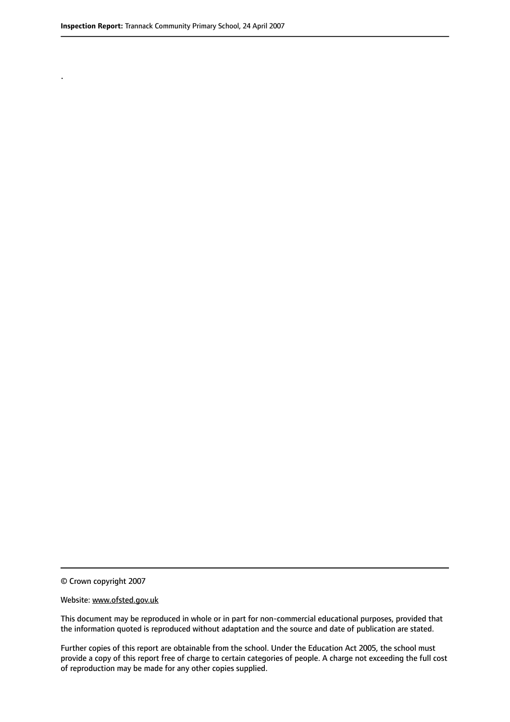.

© Crown copyright 2007

#### Website: www.ofsted.gov.uk

This document may be reproduced in whole or in part for non-commercial educational purposes, provided that the information quoted is reproduced without adaptation and the source and date of publication are stated.

Further copies of this report are obtainable from the school. Under the Education Act 2005, the school must provide a copy of this report free of charge to certain categories of people. A charge not exceeding the full cost of reproduction may be made for any other copies supplied.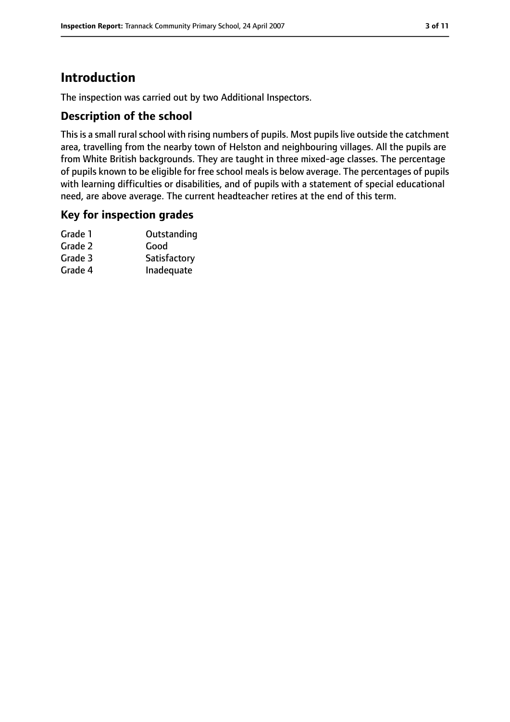# **Introduction**

The inspection was carried out by two Additional Inspectors.

#### **Description of the school**

This is a small rural school with rising numbers of pupils. Most pupils live outside the catchment area, travelling from the nearby town of Helston and neighbouring villages. All the pupils are from White British backgrounds. They are taught in three mixed-age classes. The percentage of pupils known to be eligible for free school meals is below average. The percentages of pupils with learning difficulties or disabilities, and of pupils with a statement of special educational need, are above average. The current headteacher retires at the end of this term.

#### **Key for inspection grades**

| Grade 1 | Outstanding  |
|---------|--------------|
| Grade 2 | Good         |
| Grade 3 | Satisfactory |
| Grade 4 | Inadequate   |
|         |              |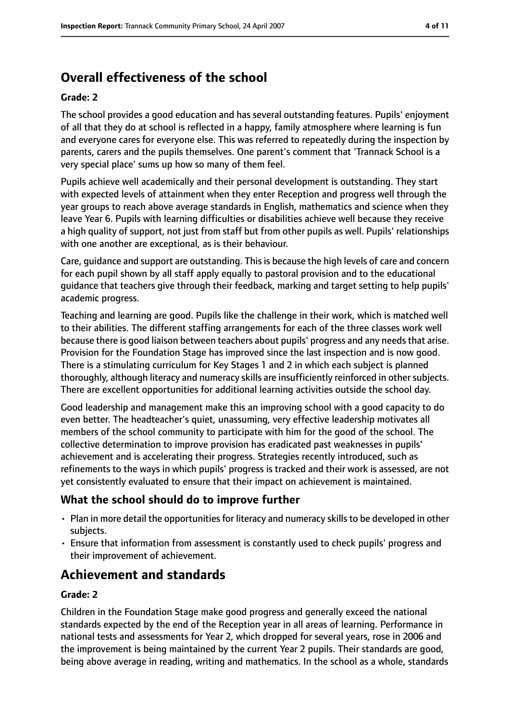# **Overall effectiveness of the school**

#### **Grade: 2**

The school provides a good education and has several outstanding features. Pupils' enjoyment of all that they do at school is reflected in a happy, family atmosphere where learning is fun and everyone cares for everyone else. This was referred to repeatedly during the inspection by parents, carers and the pupils themselves. One parent's comment that 'Trannack School is a very special place' sums up how so many of them feel.

Pupils achieve well academically and their personal development is outstanding. They start with expected levels of attainment when they enter Reception and progress well through the year groups to reach above average standards in English, mathematics and science when they leave Year 6. Pupils with learning difficulties or disabilities achieve well because they receive a high quality of support, not just from staff but from other pupils as well. Pupils' relationships with one another are exceptional, as is their behaviour.

Care, guidance and support are outstanding. This is because the high levels of care and concern for each pupil shown by all staff apply equally to pastoral provision and to the educational guidance that teachers give through their feedback, marking and target setting to help pupils' academic progress.

Teaching and learning are good. Pupils like the challenge in their work, which is matched well to their abilities. The different staffing arrangements for each of the three classes work well because there is good liaison between teachers about pupils' progress and any needs that arise. Provision for the Foundation Stage has improved since the last inspection and is now good. There is a stimulating curriculum for Key Stages 1 and 2 in which each subject is planned thoroughly, although literacy and numeracy skills are insufficiently reinforced in othersubjects. There are excellent opportunities for additional learning activities outside the school day.

Good leadership and management make this an improving school with a good capacity to do even better. The headteacher's quiet, unassuming, very effective leadership motivates all members of the school community to participate with him for the good of the school. The collective determination to improve provision has eradicated past weaknesses in pupils' achievement and is accelerating their progress. Strategies recently introduced, such as refinements to the ways in which pupils' progress is tracked and their work is assessed, are not yet consistently evaluated to ensure that their impact on achievement is maintained.

## **What the school should do to improve further**

- Plan in more detail the opportunities for literacy and numeracy skills to be developed in other subjects.
- Ensure that information from assessment is constantly used to check pupils' progress and their improvement of achievement.

# **Achievement and standards**

#### **Grade: 2**

Children in the Foundation Stage make good progress and generally exceed the national standards expected by the end of the Reception year in all areas of learning. Performance in national tests and assessments for Year 2, which dropped for several years, rose in 2006 and the improvement is being maintained by the current Year 2 pupils. Their standards are good, being above average in reading, writing and mathematics. In the school as a whole, standards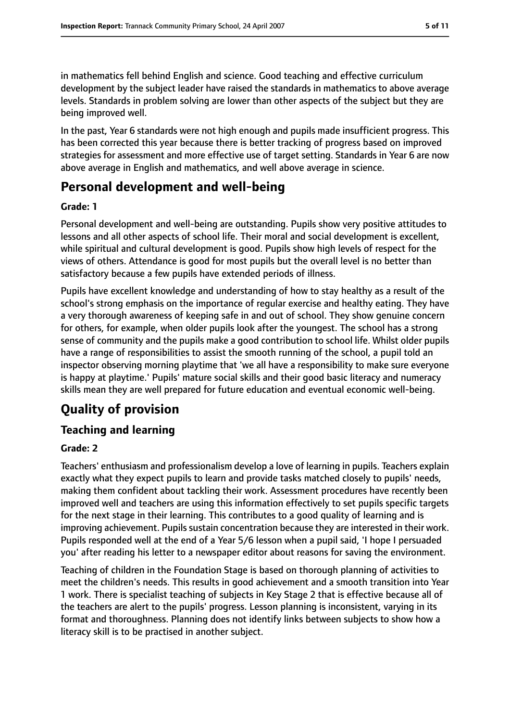in mathematics fell behind English and science. Good teaching and effective curriculum development by the subject leader have raised the standards in mathematics to above average levels. Standards in problem solving are lower than other aspects of the subject but they are being improved well.

In the past, Year 6 standards were not high enough and pupils made insufficient progress. This has been corrected this year because there is better tracking of progress based on improved strategies for assessment and more effective use of target setting. Standards in Year 6 are now above average in English and mathematics, and well above average in science.

# **Personal development and well-being**

#### **Grade: 1**

Personal development and well-being are outstanding. Pupils show very positive attitudes to lessons and all other aspects of school life. Their moral and social development is excellent, while spiritual and cultural development is good. Pupils show high levels of respect for the views of others. Attendance is good for most pupils but the overall level is no better than satisfactory because a few pupils have extended periods of illness.

Pupils have excellent knowledge and understanding of how to stay healthy as a result of the school's strong emphasis on the importance of regular exercise and healthy eating. They have a very thorough awareness of keeping safe in and out of school. They show genuine concern for others, for example, when older pupils look after the youngest. The school has a strong sense of community and the pupils make a good contribution to school life. Whilst older pupils have a range of responsibilities to assist the smooth running of the school, a pupil told an inspector observing morning playtime that 'we all have a responsibility to make sure everyone is happy at playtime.' Pupils' mature social skills and their good basic literacy and numeracy skills mean they are well prepared for future education and eventual economic well-being.

# **Quality of provision**

## **Teaching and learning**

## **Grade: 2**

Teachers' enthusiasm and professionalism develop a love of learning in pupils. Teachers explain exactly what they expect pupils to learn and provide tasks matched closely to pupils' needs, making them confident about tackling their work. Assessment procedures have recently been improved well and teachers are using this information effectively to set pupils specific targets for the next stage in their learning. This contributes to a good quality of learning and is improving achievement. Pupils sustain concentration because they are interested in their work. Pupils responded well at the end of a Year 5/6 lesson when a pupil said, 'I hope I persuaded you' after reading his letter to a newspaper editor about reasons for saving the environment.

Teaching of children in the Foundation Stage is based on thorough planning of activities to meet the children's needs. This results in good achievement and a smooth transition into Year 1 work. There is specialist teaching of subjects in Key Stage 2 that is effective because all of the teachers are alert to the pupils' progress. Lesson planning is inconsistent, varying in its format and thoroughness. Planning does not identify links between subjects to show how a literacy skill is to be practised in another subject.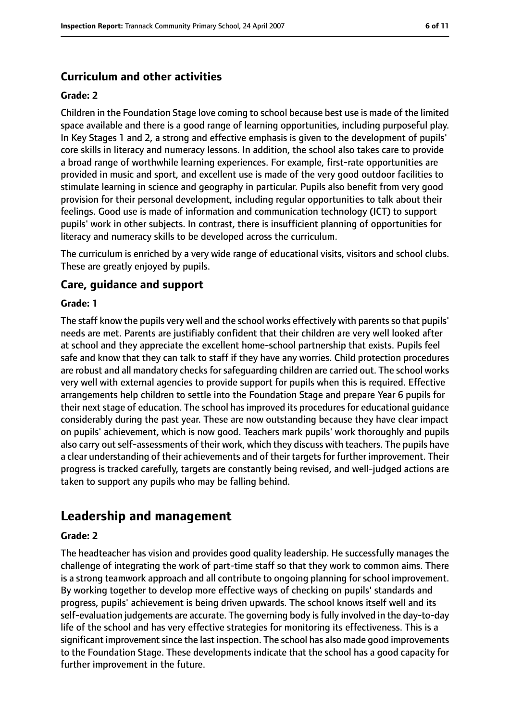## **Curriculum and other activities**

#### **Grade: 2**

Children in the Foundation Stage love coming to school because best use is made of the limited space available and there is a good range of learning opportunities, including purposeful play. In Key Stages 1 and 2, a strong and effective emphasis is given to the development of pupils' core skills in literacy and numeracy lessons. In addition, the school also takes care to provide a broad range of worthwhile learning experiences. For example, first-rate opportunities are provided in music and sport, and excellent use is made of the very good outdoor facilities to stimulate learning in science and geography in particular. Pupils also benefit from very good provision for their personal development, including regular opportunities to talk about their feelings. Good use is made of information and communication technology (ICT) to support pupils' work in other subjects. In contrast, there is insufficient planning of opportunities for literacy and numeracy skills to be developed across the curriculum.

The curriculum is enriched by a very wide range of educational visits, visitors and school clubs. These are greatly enjoyed by pupils.

#### **Care, guidance and support**

#### **Grade: 1**

The staff know the pupils very well and the school works effectively with parents so that pupils' needs are met. Parents are justifiably confident that their children are very well looked after at school and they appreciate the excellent home-school partnership that exists. Pupils feel safe and know that they can talk to staff if they have any worries. Child protection procedures are robust and all mandatory checks for safeguarding children are carried out. The school works very well with external agencies to provide support for pupils when this is required. Effective arrangements help children to settle into the Foundation Stage and prepare Year 6 pupils for their next stage of education. The school has improved its procedures for educational guidance considerably during the past year. These are now outstanding because they have clear impact on pupils' achievement, which is now good. Teachers mark pupils' work thoroughly and pupils also carry out self-assessments of their work, which they discuss with teachers. The pupils have a clear understanding of their achievements and of their targets for further improvement. Their progress is tracked carefully, targets are constantly being revised, and well-judged actions are taken to support any pupils who may be falling behind.

## **Leadership and management**

#### **Grade: 2**

The headteacher has vision and provides good quality leadership. He successfully manages the challenge of integrating the work of part-time staff so that they work to common aims. There is a strong teamwork approach and all contribute to ongoing planning for school improvement. By working together to develop more effective ways of checking on pupils' standards and progress, pupils' achievement is being driven upwards. The school knows itself well and its self-evaluation judgements are accurate. The governing body is fully involved in the day-to-day life of the school and has very effective strategies for monitoring its effectiveness. This is a significant improvement since the last inspection. The school has also made good improvements to the Foundation Stage. These developments indicate that the school has a good capacity for further improvement in the future.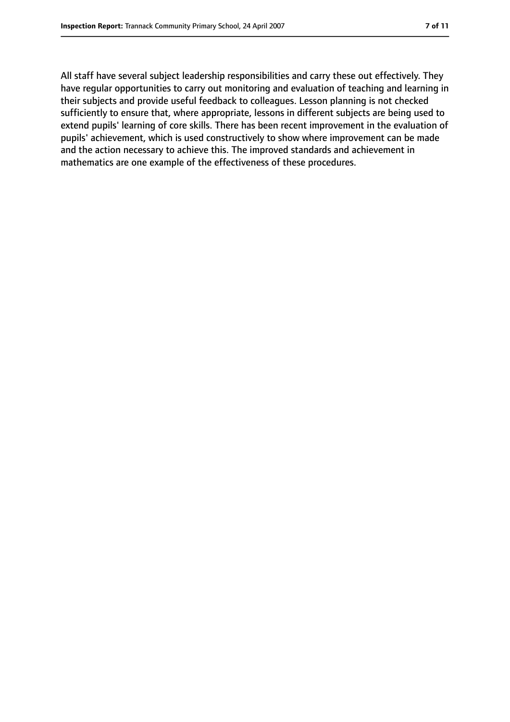All staff have several subject leadership responsibilities and carry these out effectively. They have regular opportunities to carry out monitoring and evaluation of teaching and learning in their subjects and provide useful feedback to colleagues. Lesson planning is not checked sufficiently to ensure that, where appropriate, lessons in different subjects are being used to extend pupils' learning of core skills. There has been recent improvement in the evaluation of pupils' achievement, which is used constructively to show where improvement can be made and the action necessary to achieve this. The improved standards and achievement in mathematics are one example of the effectiveness of these procedures.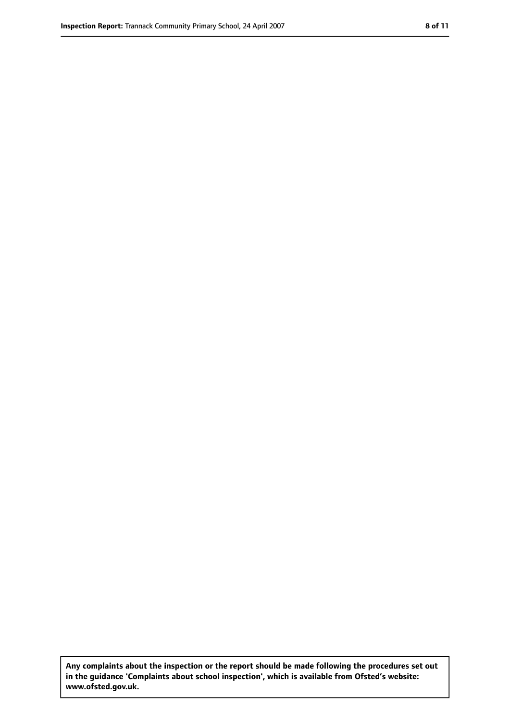**Any complaints about the inspection or the report should be made following the procedures set out in the guidance 'Complaints about school inspection', which is available from Ofsted's website: www.ofsted.gov.uk.**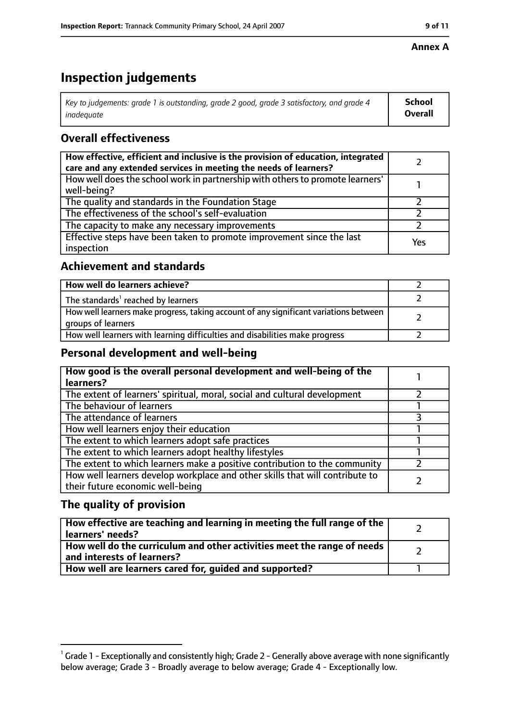#### **Annex A**

# **Inspection judgements**

| Key to judgements: grade 1 is outstanding, grade 2 good, grade 3 satisfactory, and grade 4 | <b>School</b>  |
|--------------------------------------------------------------------------------------------|----------------|
| inadequate                                                                                 | <b>Overall</b> |

## **Overall effectiveness**

| How effective, efficient and inclusive is the provision of education, integrated<br>care and any extended services in meeting the needs of learners? |     |
|------------------------------------------------------------------------------------------------------------------------------------------------------|-----|
| How well does the school work in partnership with others to promote learners'<br>well-being?                                                         |     |
| The quality and standards in the Foundation Stage                                                                                                    |     |
| The effectiveness of the school's self-evaluation                                                                                                    |     |
| The capacity to make any necessary improvements                                                                                                      |     |
| Effective steps have been taken to promote improvement since the last<br>inspection                                                                  | Yes |

## **Achievement and standards**

| How well do learners achieve?                                                                               |  |
|-------------------------------------------------------------------------------------------------------------|--|
| The standards <sup>1</sup> reached by learners                                                              |  |
| How well learners make progress, taking account of any significant variations between<br>groups of learners |  |
| How well learners with learning difficulties and disabilities make progress                                 |  |

## **Personal development and well-being**

| How good is the overall personal development and well-being of the<br>learners?                                  |  |
|------------------------------------------------------------------------------------------------------------------|--|
| The extent of learners' spiritual, moral, social and cultural development                                        |  |
| The behaviour of learners                                                                                        |  |
| The attendance of learners                                                                                       |  |
| How well learners enjoy their education                                                                          |  |
| The extent to which learners adopt safe practices                                                                |  |
| The extent to which learners adopt healthy lifestyles                                                            |  |
| The extent to which learners make a positive contribution to the community                                       |  |
| How well learners develop workplace and other skills that will contribute to<br>their future economic well-being |  |

## **The quality of provision**

| How effective are teaching and learning in meeting the full range of the<br>learners' needs?          |  |
|-------------------------------------------------------------------------------------------------------|--|
| How well do the curriculum and other activities meet the range of needs<br>and interests of learners? |  |
| How well are learners cared for, quided and supported?                                                |  |

 $^1$  Grade 1 - Exceptionally and consistently high; Grade 2 - Generally above average with none significantly below average; Grade 3 - Broadly average to below average; Grade 4 - Exceptionally low.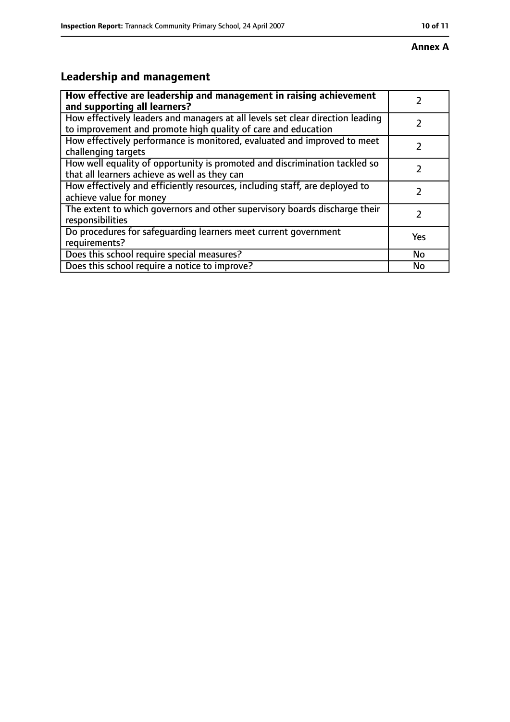#### **Annex A**

# **Leadership and management**

| How effective are leadership and management in raising achievement<br>and supporting all learners?                                              |           |
|-------------------------------------------------------------------------------------------------------------------------------------------------|-----------|
| How effectively leaders and managers at all levels set clear direction leading<br>to improvement and promote high quality of care and education |           |
| How effectively performance is monitored, evaluated and improved to meet<br>challenging targets                                                 |           |
| How well equality of opportunity is promoted and discrimination tackled so<br>that all learners achieve as well as they can                     |           |
| How effectively and efficiently resources, including staff, are deployed to<br>achieve value for money                                          |           |
| The extent to which governors and other supervisory boards discharge their<br>responsibilities                                                  | 7         |
| Do procedures for safequarding learners meet current government<br>requirements?                                                                | Yes       |
| Does this school require special measures?                                                                                                      | <b>No</b> |
| Does this school require a notice to improve?                                                                                                   | No        |